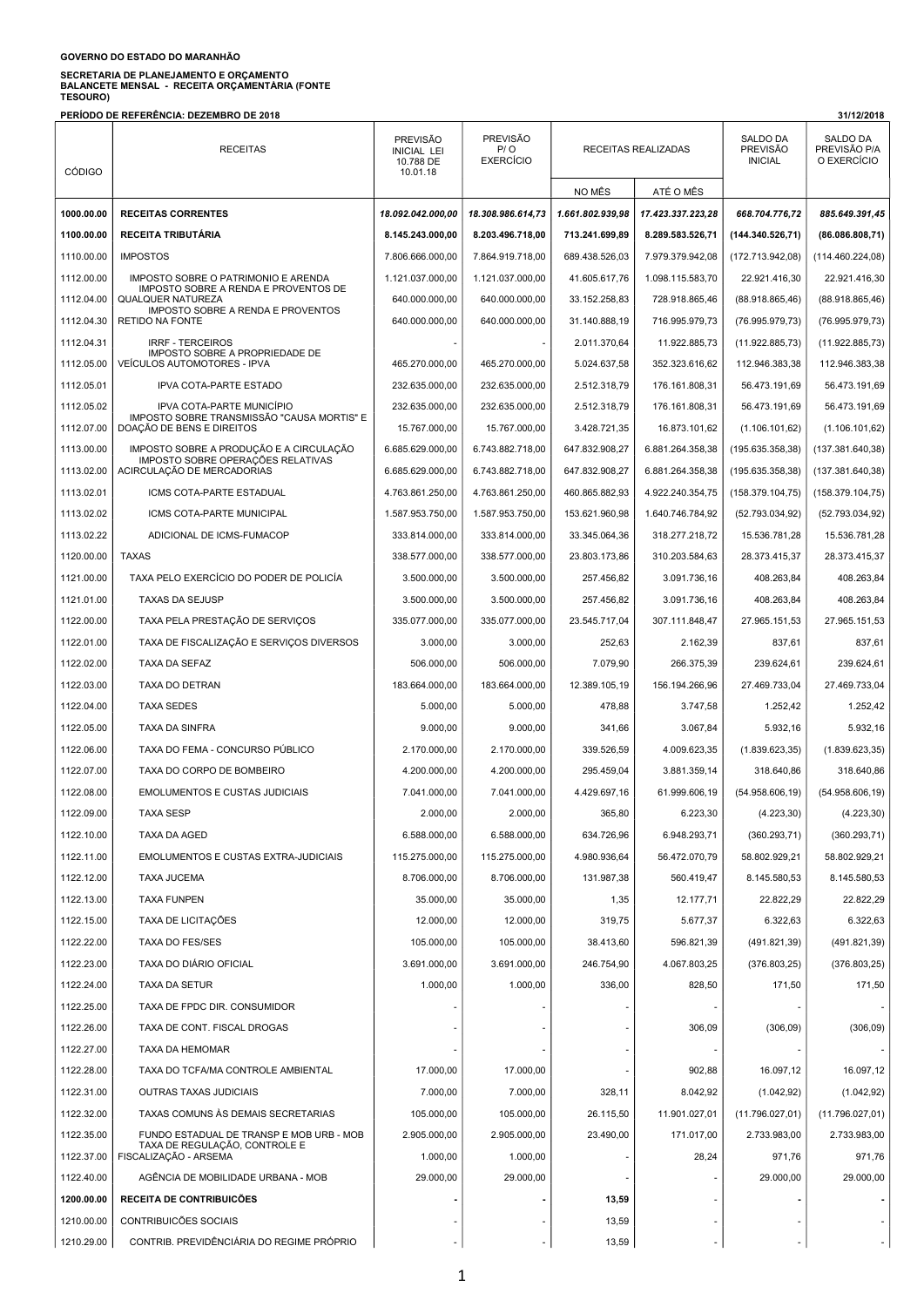## GOVERNO DO ESTADO DO MARANHÃO

## SECRETARIA DE PLANEJAMENTO E ORÇAMENTO<br>BALANCETE MENSAL - RECEITA ORÇAMENTÁRIA (FONTE<br>TESOURO)

PERÍODO DE REFERÊNCIA: DEZEMBRO DE 2018 31/12/2018

| <b>CÓDIGO</b> | <b>RECEITAS</b>                                                         | <b>PREVISÃO</b><br><b>INICIAL LEI</b><br>10.788 DE<br>10.01.18 | <b>PREVISÃO</b><br>P/O<br><b>EXERCÍCIO</b> | RECEITAS REALIZADAS |                   | SALDO DA<br><b>PREVISÃO</b><br><b>INICIAL</b> | SALDO DA<br>PREVISÃO P/A<br>O EXERCÍCIO |
|---------------|-------------------------------------------------------------------------|----------------------------------------------------------------|--------------------------------------------|---------------------|-------------------|-----------------------------------------------|-----------------------------------------|
|               |                                                                         |                                                                |                                            | NO MÊS              | ATÉ O MÊS         |                                               |                                         |
| 1000.00.00    | <b>RECEITAS CORRENTES</b>                                               | 18.092.042.000,00                                              | 18.308.986.614,73                          | 1.661.802.939,98    | 17.423.337.223,28 | 668.704.776,72                                | 885.649.391,45                          |
| 1100.00.00    | <b>RECEITA TRIBUTÁRIA</b>                                               | 8.145.243.000,00                                               | 8.203.496.718,00                           | 713.241.699,89      | 8.289.583.526,71  | (144.340.526,71)                              | (86.086.808,71)                         |
| 1110.00.00    | <b>IMPOSTOS</b>                                                         | 7.806.666.000,00                                               | 7.864.919.718,00                           | 689.438.526,03      | 7.979.379.942,08  | (172.713.942.08)                              | (114.460.224,08)                        |
| 1112.00.00    | IMPOSTO SOBRE O PATRIMONIO E ARENDA                                     | 1.121.037.000,00                                               | 1.121.037.000,00                           | 41.605.617.76       | 1.098.115.583.70  | 22.921.416.30                                 | 22.921.416,30                           |
| 1112.04.00    | IMPOSTO SOBRE A RENDA E PROVENTOS DE<br><b>QUALQUER NATUREZA</b>        | 640.000.000,00                                                 | 640.000.000,00                             | 33.152.258,83       | 728.918.865,46    | (88.918.865, 46)                              | (88.918.865,46)                         |
| 1112.04.30    | <b>IMPOSTO SOBRE A RENDA E PROVENTOS</b><br><b>RETIDO NA FONTE</b>      | 640.000.000,00                                                 | 640.000.000,00                             | 31.140.888,19       | 716.995.979,73    | (76.995.979,73)                               | (76.995.979,73)                         |
| 1112.04.31    | <b>IRRF - TERCEIROS</b>                                                 |                                                                |                                            | 2.011.370,64        | 11.922.885,73     | (11.922.885,73)                               | (11.922.885,73)                         |
| 1112.05.00    | IMPOSTO SOBRE A PROPRIEDADE DE<br>VEÍCULOS AUTOMOTORES - IPVA           | 465.270.000,00                                                 | 465.270.000,00                             | 5.024.637,58        | 352.323.616,62    | 112.946.383,38                                | 112.946.383,38                          |
| 1112.05.01    | IPVA COTA-PARTE ESTADO                                                  | 232.635.000,00                                                 | 232.635.000,00                             | 2.512.318,79        | 176.161.808,31    | 56.473.191,69                                 | 56.473.191,69                           |
| 1112.05.02    | IPVA COTA-PARTE MUNICIPIO                                               | 232.635.000,00                                                 | 232.635.000,00                             | 2.512.318,79        | 176.161.808,31    | 56.473.191,69                                 | 56.473.191,69                           |
| 1112.07.00    | IMPOSTO SOBRE TRANSMISSÃO "CAUSA MORTIS" E<br>DOAÇÃO DE BENS E DIREITOS | 15.767.000,00                                                  | 15.767.000,00                              | 3.428.721,35        | 16.873.101,62     | (1.106.101, 62)                               | (1.106.101, 62)                         |
| 1113.00.00    | IMPOSTO SOBRE A PRODUÇÃO E A CIRCULAÇÃO                                 | 6.685.629.000,00                                               | 6.743.882.718.00                           | 647.832.908.27      | 6.881.264.358,38  | (195.635.358,38)                              | (137.381.640,38)                        |
| 1113.02.00    | IMPOSTO SOBRE OPERAÇÕES RELATIVAS<br>ACIRCULAÇÃO DE MERCADORIAS         | 6.685.629.000,00                                               | 6.743.882.718,00                           | 647.832.908,27      | 6.881.264.358,38  | (195.635.358,38)                              | (137.381.640,38)                        |
| 1113.02.01    | ICMS COTA-PARTE ESTADUAL                                                | 4.763.861.250,00                                               | 4.763.861.250,00                           | 460.865.882.93      | 4.922.240.354,75  | (158.379.104.75)                              | (158.379.104,75)                        |
| 1113.02.02    | ICMS COTA-PARTE MUNICIPAL                                               | 1.587.953.750,00                                               | 1.587.953.750,00                           | 153.621.960,98      | 1.640.746.784,92  | (52.793.034, 92)                              | (52.793.034, 92)                        |
| 1113.02.22    | ADICIONAL DE ICMS-FUMACOP                                               | 333.814.000,00                                                 | 333.814.000,00                             | 33.345.064,36       | 318.277.218,72    | 15.536.781,28                                 | 15.536.781,28                           |
| 1120.00.00    | <b>TAXAS</b>                                                            | 338.577.000,00                                                 | 338.577.000.00                             | 23.803.173,86       | 310.203.584,63    | 28.373.415,37                                 | 28.373.415,37                           |
| 1121.00.00    | TAXA PELO EXERCÍCIO DO PODER DE POLICÍA                                 | 3.500.000,00                                                   | 3.500.000,00                               | 257.456,82          | 3.091.736,16      | 408.263,84                                    | 408.263,84                              |
| 1121.01.00    | <b>TAXAS DA SEJUSP</b>                                                  | 3.500.000,00                                                   | 3.500.000,00                               | 257.456,82          | 3.091.736,16      | 408.263,84                                    | 408.263,84                              |
| 1122.00.00    | TAXA PELA PRESTAÇÃO DE SERVIÇOS                                         | 335.077.000,00                                                 | 335.077.000,00                             | 23.545.717,04       | 307.111.848,47    | 27.965.151,53                                 | 27.965.151,53                           |
| 1122.01.00    | TAXA DE FISCALIZAÇÃO E SERVIÇOS DIVERSOS                                | 3.000,00                                                       | 3.000,00                                   | 252,63              | 2.162,39          | 837,61                                        | 837,61                                  |
| 1122.02.00    | TAXA DA SEFAZ                                                           | 506.000,00                                                     | 506.000,00                                 | 7.079,90            | 266.375,39        | 239.624,61                                    | 239.624,61                              |
| 1122.03.00    | TAXA DO DETRAN                                                          | 183.664.000,00                                                 | 183.664.000,00                             | 12.389.105,19       | 156.194.266,96    | 27.469.733,04                                 | 27.469.733,04                           |
| 1122.04.00    | <b>TAXA SEDES</b>                                                       | 5.000,00                                                       | 5.000,00                                   | 478,88              | 3.747,58          | 1.252,42                                      | 1.252,42                                |
| 1122.05.00    | <b>TAXA DA SINFRA</b>                                                   | 9.000,00                                                       | 9.000,00                                   | 341,66              | 3.067,84          | 5.932,16                                      | 5.932,16                                |
| 1122.06.00    | TAXA DO FEMA - CONCURSO PÚBLICO                                         | 2.170.000,00                                                   | 2.170.000,00                               | 339.526,59          | 4.009.623,35      | (1.839.623, 35)                               | (1.839.623, 35)                         |
| 1122.07.00    | TAXA DO CORPO DE BOMBEIRO                                               | 4.200.000,00                                                   | 4.200.000,00                               | 295.459,04          | 3.881.359,14      | 318.640,86                                    | 318.640,86                              |
| 1122.08.00    | <b>EMOLUMENTOS E CUSTAS JUDICIAIS</b>                                   | 7.041.000,00                                                   | 7.041.000,00                               | 4.429.697,16        | 61.999.606,19     | (54.958.606, 19)                              | (54.958.606, 19)                        |
| 1122.09.00    | <b>TAXA SESP</b>                                                        | 2.000,00                                                       | 2.000,00                                   | 365,80              | 6.223,30          | (4.223, 30)                                   | (4.223, 30)                             |
| 1122.10.00    | TAXA DA AGED                                                            | 6.588.000,00                                                   | 6.588.000,00                               | 634.726,96          | 6.948.293,71      | (360.293,71)                                  | (360.293, 71)                           |
| 1122.11.00    | EMOLUMENTOS E CUSTAS EXTRA-JUDICIAIS                                    | 115.275.000,00                                                 | 115.275.000,00                             | 4.980.936,64        | 56.472.070,79     | 58.802.929,21                                 | 58.802.929,21                           |
| 1122.12.00    | <b>TAXA JUCEMA</b>                                                      | 8.706.000,00                                                   | 8.706.000,00                               | 131.987.38          | 560.419.47        | 8.145.580.53                                  | 8.145.580,53                            |
| 1122.13.00    | <b>TAXA FUNPEN</b>                                                      | 35.000.00                                                      | 35.000,00                                  | 1,35                | 12.177,71         | 22.822,29                                     | 22.822,29                               |
| 1122.15.00    | <b>TAXA DE LICITAÇÕES</b>                                               | 12.000,00                                                      | 12.000,00                                  | 319,75              | 5.677,37          | 6.322,63                                      | 6.322,63                                |
| 1122.22.00    | <b>TAXA DO FES/SES</b>                                                  | 105.000,00                                                     | 105.000.00                                 | 38.413,60           | 596.821,39        | (491.821,39)                                  | (491.821, 39)                           |
| 1122.23.00    | TAXA DO DIÁRIO OFICIAL                                                  | 3.691.000,00                                                   | 3.691.000,00                               | 246.754,90          | 4.067.803,25      | (376.803,25)                                  | (376.803, 25)                           |
| 1122.24.00    | <b>TAXA DA SETUR</b>                                                    | 1.000,00                                                       | 1.000.00                                   | 336,00              | 828,50            | 171,50                                        | 171,50                                  |
| 1122.25.00    | TAXA DE FPDC DIR. CONSUMIDOR                                            |                                                                |                                            |                     |                   |                                               |                                         |
| 1122.26.00    | TAXA DE CONT. FISCAL DROGAS                                             |                                                                |                                            |                     | 306,09            | (306,09)                                      | (306, 09)                               |
| 1122.27.00    | TAXA DA HEMOMAR                                                         |                                                                |                                            |                     |                   |                                               |                                         |
| 1122.28.00    | TAXA DO TCFA/MA CONTROLE AMBIENTAL                                      | 17.000,00                                                      | 17.000,00                                  |                     | 902,88            | 16.097,12                                     | 16.097,12                               |
| 1122.31.00    | <b>OUTRAS TAXAS JUDICIAIS</b>                                           | 7.000,00                                                       | 7.000,00                                   | 328,11              | 8.042,92          | (1.042, 92)                                   | (1.042, 92)                             |
| 1122.32.00    | TAXAS COMUNS ÀS DEMAIS SECRETARIAS                                      | 105.000,00                                                     | 105.000,00                                 | 26.115,50           | 11.901.027,01     | (11.796.027, 01)                              | (11.796.027, 01)                        |
| 1122.35.00    | FUNDO ESTADUAL DE TRANSP E MOB URB - MOB                                | 2.905.000,00                                                   | 2.905.000,00                               | 23.490,00           | 171.017,00        | 2.733.983,00                                  | 2.733.983,00                            |
| 1122.37.00    | TAXA DE REGULAÇÃO, CONTROLE E<br>FISCALIZAÇÃO - ARSEMA                  | 1.000,00                                                       | 1.000,00                                   |                     | 28,24             | 971,76                                        | 971,76                                  |
| 1122.40.00    | AGÊNCIA DE MOBILIDADE URBANA - MOB                                      | 29.000,00                                                      | 29.000,00                                  |                     |                   | 29.000,00                                     | 29.000,00                               |
| 1200.00.00    | RECEITA DE CONTRIBUICÕES                                                |                                                                |                                            | 13,59               |                   |                                               |                                         |
| 1210.00.00    | CONTRIBUICÕES SOCIAIS                                                   |                                                                |                                            | 13,59               |                   |                                               |                                         |
| 1210.29.00    | CONTRIB. PREVIDÊNCIÁRIA DO REGIME PRÓPRIO                               |                                                                |                                            | 13,59               |                   |                                               |                                         |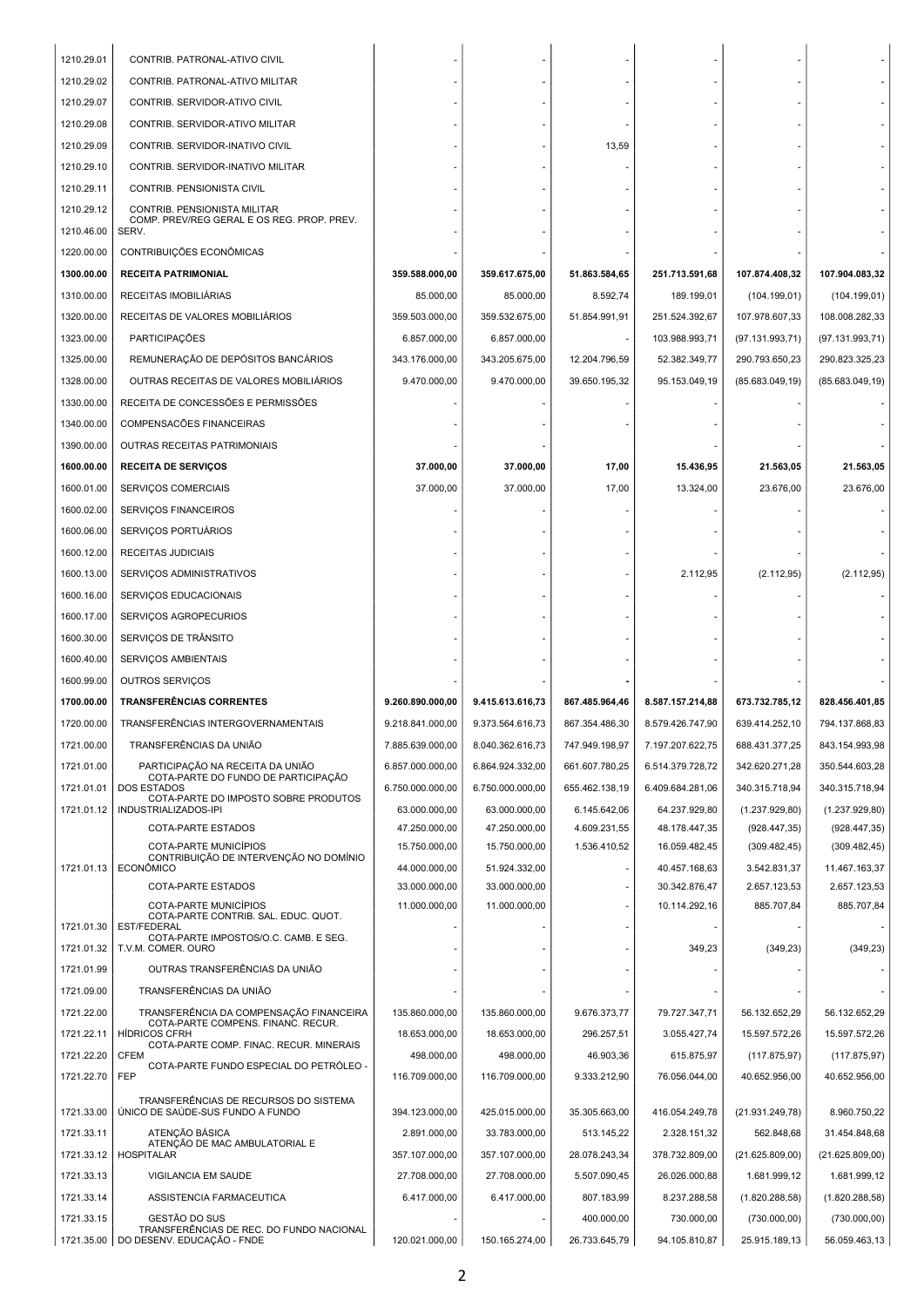| 1210.29.01 | CONTRIB. PATRONAL-ATIVO CIVIL                                                 |                  |                  |                |                  |                  |                  |
|------------|-------------------------------------------------------------------------------|------------------|------------------|----------------|------------------|------------------|------------------|
| 1210.29.02 | CONTRIB. PATRONAL-ATIVO MILITAR                                               |                  |                  |                |                  |                  |                  |
| 1210.29.07 | CONTRIB. SERVIDOR-ATIVO CIVIL                                                 |                  |                  |                |                  |                  |                  |
| 1210.29.08 | CONTRIB. SERVIDOR-ATIVO MILITAR                                               |                  |                  |                |                  |                  |                  |
| 1210.29.09 | CONTRIB. SERVIDOR-INATIVO CIVIL                                               |                  |                  | 13,59          |                  |                  |                  |
| 1210.29.10 | CONTRIB. SERVIDOR-INATIVO MILITAR                                             |                  |                  |                |                  |                  |                  |
| 1210.29.11 | CONTRIB. PENSIONISTA CIVIL                                                    |                  |                  |                |                  |                  |                  |
| 1210.29.12 | CONTRIB. PENSIONISTA MILITAR                                                  |                  |                  |                |                  |                  |                  |
| 1210.46.00 | COMP. PREV/REG GERAL E OS REG. PROP. PREV.<br>SERV.                           |                  |                  |                |                  |                  |                  |
| 1220.00.00 | CONTRIBUIÇÕES ECONÔMICAS                                                      |                  |                  |                |                  |                  |                  |
| 1300.00.00 | <b>RECEITA PATRIMONIAL</b>                                                    | 359.588.000,00   | 359.617.675,00   | 51.863.584,65  | 251.713.591,68   | 107.874.408,32   | 107.904.083,32   |
| 1310.00.00 | RECEITAS IMOBILIARIAS                                                         | 85.000,00        | 85.000,00        | 8.592,74       | 189.199,01       | (104.199, 01)    | (104.199, 01)    |
| 1320.00.00 | RECEITAS DE VALORES MOBILIÁRIOS                                               | 359.503.000,00   | 359.532.675,00   | 51.854.991,91  | 251.524.392,67   | 107.978.607,33   | 108.008.282,33   |
| 1323.00.00 | <b>PARTICIPAÇÕES</b>                                                          | 6.857.000,00     | 6.857.000,00     |                | 103.988.993,71   | (97.131.993,71)  | (97.131.993,71)  |
| 1325.00.00 | REMUNERAÇÃO DE DEPÓSITOS BANCÁRIOS                                            | 343.176.000,00   | 343.205.675,00   | 12.204.796,59  | 52.382.349,77    | 290.793.650,23   | 290.823.325,23   |
| 1328.00.00 | OUTRAS RECEITAS DE VALORES MOBILIÁRIOS                                        | 9.470.000,00     | 9.470.000,00     | 39.650.195,32  | 95.153.049,19    | (85.683.049, 19) | (85.683.049, 19) |
| 1330.00.00 | RECEITA DE CONCESSÕES E PERMISSÕES                                            |                  |                  |                |                  |                  |                  |
| 1340.00.00 | COMPENSACÕES FINANCEIRAS                                                      |                  |                  |                |                  |                  |                  |
| 1390.00.00 | OUTRAS RECEITAS PATRIMONIAIS                                                  |                  |                  |                |                  |                  |                  |
| 1600.00.00 | <b>RECEITA DE SERVIÇOS</b>                                                    | 37.000,00        | 37.000,00        | 17,00          | 15.436,95        | 21.563,05        | 21.563,05        |
| 1600.01.00 | SERVIÇOS COMERCIAIS                                                           | 37.000,00        | 37.000,00        | 17,00          | 13.324,00        | 23.676,00        | 23.676,00        |
| 1600.02.00 | SERVIÇOS FINANCEIROS                                                          |                  |                  |                |                  |                  |                  |
| 1600.06.00 | SERVIÇOS PORTUÁRIOS                                                           |                  |                  |                |                  |                  |                  |
| 1600.12.00 | RECEITAS JUDICIAIS                                                            |                  |                  |                |                  |                  |                  |
| 1600.13.00 | SERVIÇOS ADMINISTRATIVOS                                                      |                  |                  |                | 2.112,95         | (2.112,95)       | (2.112,95)       |
| 1600.16.00 | SERVIÇOS EDUCACIONAIS                                                         |                  |                  |                |                  |                  |                  |
| 1600.17.00 | SERVIÇOS AGROPECURIOS                                                         |                  |                  |                |                  |                  |                  |
| 1600.30.00 | SERVIÇOS DE TRÂNSITO                                                          |                  |                  |                |                  |                  |                  |
|            |                                                                               |                  |                  |                |                  |                  |                  |
| 1600.40.00 | SERVIÇOS AMBIENTAIS                                                           |                  |                  |                |                  |                  |                  |
| 1600.99.00 | <b>OUTROS SERVICOS</b>                                                        |                  |                  |                |                  |                  |                  |
| 1700.00.00 | <b>TRANSFERÊNCIAS CORRENTES</b>                                               | 9.260.890.000,00 | 9.415.613.616,73 | 867.485.964,46 | 8.587.157.214,88 | 673.732.785,12   | 828.456.401,85   |
| 1720.00.00 | TRANSFERÊNCIAS INTERGOVERNAMENTAIS                                            | 9.218.841.000,00 | 9.373.564.616,73 | 867.354.486,30 | 8.579.426.747,90 | 639.414.252.10   | 794.137.868,83   |
| 1721.00.00 | TRANSFERÊNCIAS DA UNIÃO                                                       | 7.885.639.000,00 | 8.040.362.616,73 | 747.949.198,97 | 7.197.207.622,75 | 688.431.377,25   | 843.154.993,98   |
| 1721.01.00 | PARTICIPAÇÃO NA RECEITA DA UNIÃO                                              | 6.857.000.000,00 | 6.864.924.332.00 | 661.607.780,25 | 6.514.379.728,72 | 342.620.271,28   | 350.544.603.28   |
| 1721.01.01 | COTA-PARTE DO FUNDO DE PARTICIPAÇÃO<br><b>DOS ESTADOS</b>                     | 6.750.000.000,00 | 6.750.000.000,00 | 655.462.138,19 | 6.409.684.281,06 | 340.315.718,94   | 340.315.718,94   |
| 1721.01.12 | COTA-PARTE DO IMPOSTO SOBRE PRODUTOS<br><b>INDUSTRIALIZADOS-IPI</b>           | 63.000.000,00    | 63.000.000,00    | 6.145.642.06   | 64.237.929,80    | (1.237.929, 80)  | (1.237.929, 80)  |
|            | <b>COTA-PARTE ESTADOS</b>                                                     | 47.250.000,00    | 47.250.000,00    | 4.609.231,55   | 48.178.447,35    | (928.447, 35)    | (928.447.35)     |
|            | COTA-PARTE MUNICÍPIOS                                                         | 15.750.000,00    | 15.750.000,00    | 1.536.410,52   | 16.059.482,45    | (309.482, 45)    | (309.482, 45)    |
| 1721.01.13 | CONTRIBUIÇÃO DE INTERVENÇÃO NO DOMÍNIO<br><b>ECONÔMICO</b>                    | 44.000.000,00    | 51.924.332.00    |                | 40.457.168,63    | 3.542.831,37     | 11.467.163.37    |
|            | <b>COTA-PARTE ESTADOS</b>                                                     | 33.000.000.00    | 33.000.000.00    |                | 30.342.876,47    | 2.657.123,53     | 2.657.123,53     |
|            | COTA-PARTE MUNICÍPIOS<br>COTA-PARTE CONTRIB. SAL. EDUC. QUOT.                 | 11.000.000,00    | 11.000.000,00    |                | 10.114.292,16    | 885.707.84       | 885.707.84       |
| 1721.01.30 | <b>EST/FEDERAL</b><br>COTA-PARTE IMPOSTOS/O.C. CAMB. E SEG.                   |                  |                  |                |                  |                  |                  |
| 1721.01.32 | T.V.M. COMER. OURO                                                            |                  |                  |                | 349,23           | (349, 23)        | (349, 23)        |
| 1721.01.99 | OUTRAS TRANSFERÊNCIAS DA UNIÃO                                                |                  |                  |                |                  |                  |                  |
| 1721.09.00 | TRANSFERÊNCIAS DA UNIÃO                                                       |                  |                  |                |                  |                  |                  |
| 1721.22.00 | TRANSFERÊNCIA DA COMPENSAÇÃO FINANCEIRA<br>COTA-PARTE COMPENS. FINANC. RECUR. | 135.860.000,00   | 135.860.000,00   | 9.676.373,77   | 79.727.347,71    | 56.132.652,29    | 56.132.652,29    |
| 1721.22.11 | <b>HÍDRICOS CFRH</b><br>COTA-PARTE COMP. FINAC. RECUR. MINERAIS               | 18.653.000,00    | 18.653.000,00    | 296.257,51     | 3.055.427,74     | 15.597.572,26    | 15.597.572,26    |
| 1721.22.20 | <b>CFEM</b><br>COTA-PARTE FUNDO ESPECIAL DO PETRÓLEO -                        | 498.000,00       | 498.000,00       | 46.903,36      | 615.875,97       | (117.875, 97)    | (117.875, 97)    |
| 1721.22.70 | FEP                                                                           | 116.709.000,00   | 116.709.000,00   | 9.333.212,90   | 76.056.044,00    | 40.652.956,00    | 40.652.956,00    |
| 1721.33.00 | TRANSFERÊNCIAS DE RECURSOS DO SISTEMA<br>ÚNICO DE SAÚDE-SUS FUNDO A FUNDO     | 394.123.000,00   | 425.015.000,00   | 35.305.663,00  | 416.054.249,78   | (21.931.249,78)  | 8.960.750,22     |
| 1721.33.11 | ATENÇÃO BÁSICA                                                                | 2.891.000,00     | 33.783.000,00    | 513.145,22     | 2.328.151,32     | 562.848,68       | 31.454.848,68    |
| 1721.33.12 | ATENÇÃO DE MAC AMBULATORIAL E<br><b>HOSPITALAR</b>                            | 357.107.000,00   | 357.107.000,00   | 28.078.243,34  | 378.732.809,00   | (21.625.809,00)  | (21.625.809,00)  |
| 1721.33.13 | VIGILANCIA EM SAUDE                                                           | 27.708.000,00    | 27.708.000,00    | 5.507.090,45   | 26.026.000,88    | 1.681.999,12     | 1.681.999,12     |
| 1721.33.14 | ASSISTENCIA FARMACEUTICA                                                      | 6.417.000,00     | 6.417.000,00     | 807.183,99     | 8.237.288,58     | (1.820.288, 58)  | (1.820.288, 58)  |
| 1721.33.15 | GESTÃO DO SUS<br>TRANSFERÊNCIAS DE REC. DO FUNDO NACIONAL                     |                  |                  | 400.000,00     | 730.000,00       | (730.000, 00)    | (730.000, 00)    |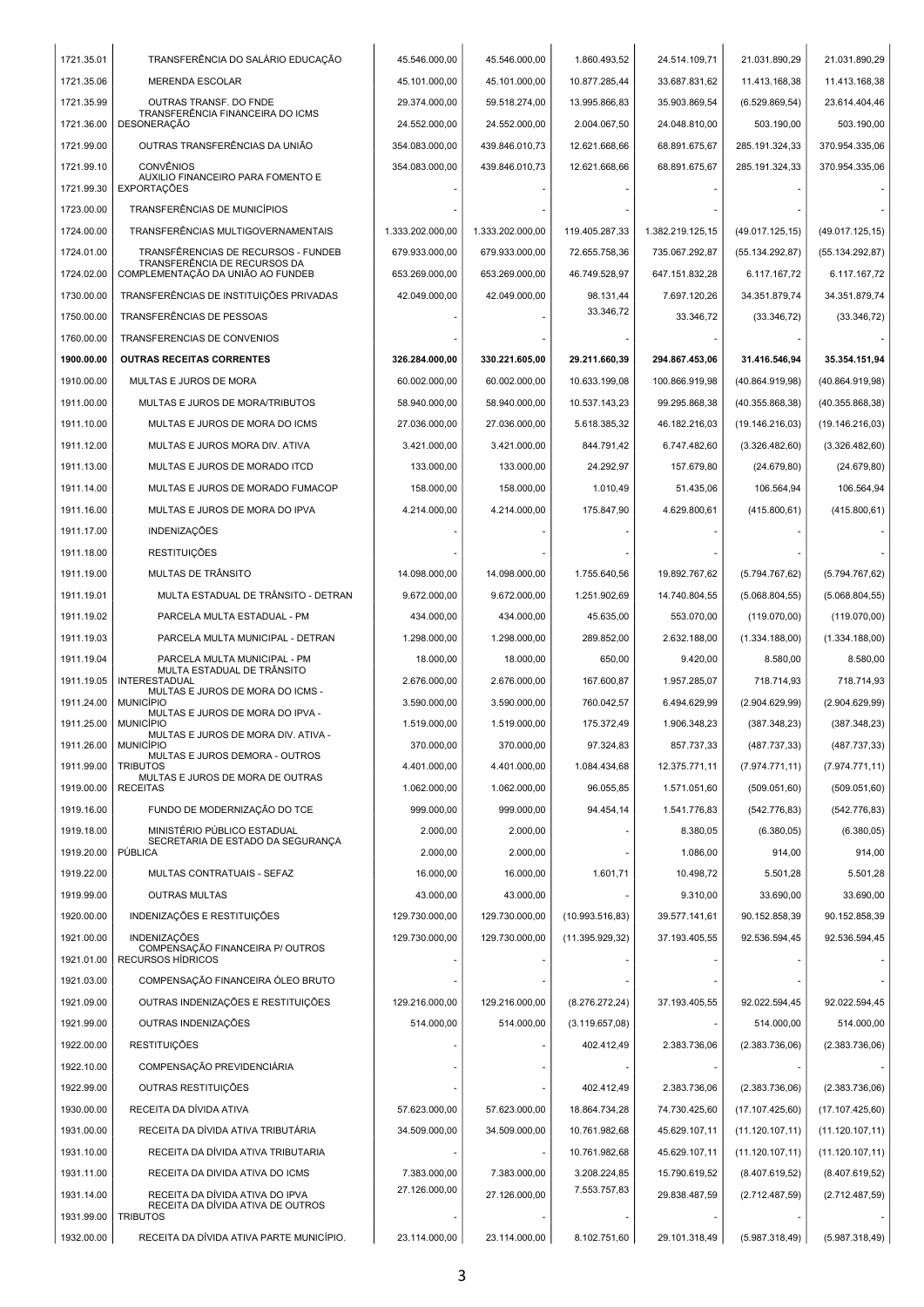| 1721.35.01 | TRANSFERÊNCIA DO SALÁRIO EDUCAÇÃO                                    | 45.546.000,00    | 45.546.000,00    | 1.860.493,52           | 24.514.109,71    | 21.031.890,29    | 21.031.890,29    |
|------------|----------------------------------------------------------------------|------------------|------------------|------------------------|------------------|------------------|------------------|
| 1721.35.06 | <b>MERENDA ESCOLAR</b>                                               | 45.101.000.00    | 45.101.000,00    | 10.877.285,44          | 33.687.831,62    | 11.413.168,38    | 11.413.168,38    |
| 1721.35.99 | OUTRAS TRANSF. DO FNDE<br>TRANSFERÊNCIA FINANCEIRA DO ICMS           | 29.374.000,00    | 59.518.274,00    | 13.995.866,83          | 35.903.869,54    | (6.529.869, 54)  | 23.614.404,46    |
| 1721.36.00 | <b>DESONERAÇÃO</b>                                                   | 24.552.000,00    | 24.552.000,00    | 2.004.067,50           | 24.048.810,00    | 503.190,00       | 503.190,00       |
| 1721.99.00 | OUTRAS TRANSFERÊNCIAS DA UNIÃO                                       | 354.083.000,00   | 439.846.010,73   | 12.621.668,66          | 68.891.675,67    | 285.191.324,33   | 370.954.335,06   |
| 1721.99.10 | <b>CONVÊNIOS</b><br>AUXILIO FINANCEIRO PARA FOMENTO E                | 354.083.000,00   | 439.846.010,73   | 12.621.668,66          | 68.891.675,67    | 285.191.324,33   | 370.954.335,06   |
| 1721.99.30 | <b>EXPORTAÇÕES</b>                                                   |                  |                  |                        |                  |                  |                  |
| 1723.00.00 | <b>TRANSFERÊNCIAS DE MUNICÍPIOS</b>                                  |                  |                  |                        |                  |                  |                  |
| 1724.00.00 | TRANSFERÊNCIAS MULTIGOVERNAMENTAIS                                   | 1.333.202.000.00 | 1.333.202.000,00 | 119.405.287,33         | 1.382.219.125,15 | (49.017.125, 15) | (49.017.125, 15) |
| 1724.01.00 | TRANSFÊRENCIAS DE RECURSOS - FUNDEB<br>TRANSFERÊNCIA DE RECURSOS DA  | 679.933.000,00   | 679.933.000,00   | 72.655.758,36          | 735.067.292,87   | (55.134.292, 87) | (55.134.292, 87) |
| 1724.02.00 | COMPLEMENTAÇÃO DA UNIÃO AO FUNDEB                                    | 653.269.000,00   | 653.269.000,00   | 46.749.528,97          | 647.151.832,28   | 6.117.167,72     | 6.117.167,72     |
| 1730.00.00 | TRANSFERÊNCIAS DE INSTITUIÇÕES PRIVADAS                              | 42.049.000,00    | 42.049.000,00    | 98.131,44<br>33.346,72 | 7.697.120,26     | 34.351.879,74    | 34.351.879,74    |
| 1750.00.00 | TRANSFERÊNCIAS DE PESSOAS                                            |                  |                  |                        | 33.346,72        | (33.346, 72)     | (33.346, 72)     |
| 1760.00.00 | TRANSFERENCIAS DE CONVENIOS                                          |                  |                  |                        |                  |                  |                  |
| 1900.00.00 | <b>OUTRAS RECEITAS CORRENTES</b>                                     | 326.284.000,00   | 330.221.605,00   | 29.211.660,39          | 294.867.453,06   | 31.416.546,94    | 35.354.151,94    |
| 1910.00.00 | MULTAS E JUROS DE MORA                                               | 60.002.000,00    | 60.002.000,00    | 10.633.199,08          | 100.866.919.98   | (40.864.919,98)  | (40.864.919,98)  |
| 1911.00.00 | MULTAS E JUROS DE MORA/TRIBUTOS                                      | 58.940.000,00    | 58.940.000,00    | 10.537.143,23          | 99.295.868,38    | (40.355.868, 38) | (40.355.868, 38) |
| 1911.10.00 | MULTAS E JUROS DE MORA DO ICMS                                       | 27.036.000,00    | 27.036.000,00    | 5.618.385,32           | 46.182.216,03    | (19.146.216,03)  | (19.146.216,03)  |
| 1911.12.00 | MULTAS E JUROS MORA DIV. ATIVA                                       | 3.421.000,00     | 3.421.000,00     | 844.791,42             | 6.747.482,60     | (3.326.482, 60)  | (3.326.482,60)   |
| 1911.13.00 | MULTAS E JUROS DE MORADO ITCD                                        | 133.000,00       | 133.000,00       | 24.292,97              | 157.679,80       | (24.679, 80)     | (24.679, 80)     |
| 1911.14.00 | MULTAS E JUROS DE MORADO FUMACOP                                     | 158.000,00       | 158.000,00       | 1.010,49               | 51.435,06        | 106.564,94       | 106.564,94       |
| 1911.16.00 | MULTAS E JUROS DE MORA DO IPVA                                       | 4.214.000,00     | 4.214.000,00     | 175.847,90             | 4.629.800,61     | (415.800, 61)    | (415.800, 61)    |
| 1911.17.00 | <b>INDENIZAÇÕES</b>                                                  |                  |                  |                        |                  |                  |                  |
| 1911.18.00 | <b>RESTITUIÇÕES</b>                                                  |                  |                  |                        |                  |                  |                  |
| 1911.19.00 | MULTAS DE TRÂNSITO                                                   | 14.098.000,00    | 14.098.000,00    | 1.755.640,56           | 19.892.767,62    | (5.794.767, 62)  | (5.794.767, 62)  |
| 1911.19.01 | MULTA ESTADUAL DE TRÂNSITO - DETRAN                                  | 9.672.000,00     | 9.672.000,00     | 1.251.902,69           | 14.740.804,55    | (5.068.804, 55)  | (5.068.804, 55)  |
| 1911.19.02 | PARCELA MULTA ESTADUAL - PM                                          | 434.000,00       | 434.000,00       | 45.635,00              | 553.070,00       | (119.070,00)     | (119.070,00)     |
| 1911.19.03 | PARCELA MULTA MUNICIPAL - DETRAN                                     | 1.298.000,00     | 1.298.000,00     | 289.852.00             | 2.632.188,00     | (1.334.188,00)   | (1.334.188,00)   |
| 1911.19.04 | PARCELA MULTA MUNICIPAL - PM<br>MULTA ESTADUAL DE TRÂNSITO           | 18.000,00        | 18.000,00        | 650,00                 | 9.420,00         | 8.580,00         | 8.580,00         |
| 1911.19.05 | <b>INTERESTADUAL</b><br>MULTAS E JUROS DE MORA DO ICMS -             | 2.676.000,00     | 2.676.000,00     | 167.600,87             | 1.957.285,07     | 718.714,93       | 718.714,93       |
| 1911.24.00 | <b>MUNICÍPIO</b>                                                     | 3.590.000,00     | 3.590.000,00     | 760.042,57             | 6.494.629,99     | (2.904.629,99)   | (2.904.629,99)   |
| 1911.25.00 | MULTAS E JUROS DE MORA DO IPVA -<br><b>MUNICIPIO</b>                 | 1.519.000,00     | 1.519.000,00     | 175.372,49             | 1.906.348,23     | (387.348,23)     | (387.348, 23)    |
| 1911.26.00 | MULTAS E JUROS DE MORA DIV. ATIVA -<br><b>MUNICÍPIO</b>              | 370.000,00       | 370.000,00       | 97.324,83              | 857.737,33       | (487.737, 33)    | (487.737, 33)    |
| 1911.99.00 | MULTAS E JUROS DEMORA - OUTROS<br><b>TRIBUTOS</b>                    | 4.401.000,00     | 4.401.000,00     | 1.084.434,68           | 12.375.771,11    | (7.974.771, 11)  | (7.974.771, 11)  |
| 1919.00.00 | MULTAS E JUROS DE MORA DE OUTRAS<br><b>RECEITAS</b>                  | 1.062.000,00     | 1.062.000,00     | 96.055,85              | 1.571.051,60     | (509.051,60)     | (509.051,60)     |
| 1919.16.00 | FUNDO DE MODERNIZAÇÃO DO TCE                                         | 999.000,00       | 999.000,00       | 94.454,14              | 1.541.776,83     | (542.776, 83)    | (542.776, 83)    |
| 1919.18.00 | MINISTÉRIO PÚBLICO ESTADUAL                                          | 2.000.00         | 2.000,00         |                        | 8.380.05         | (6.380, 05)      | (6.380,05)       |
| 1919.20.00 | SECRETARIA DE ESTADO DA SEGURANÇA<br>PÚBLICA                         | 2.000,00         | 2.000,00         |                        | 1.086,00         | 914,00           | 914,00           |
| 1919.22.00 | MULTAS CONTRATUAIS - SEFAZ                                           | 16.000,00        | 16.000,00        | 1.601,71               | 10.498,72        | 5.501,28         | 5.501,28         |
| 1919.99.00 | <b>OUTRAS MULTAS</b>                                                 | 43.000,00        | 43.000,00        |                        | 9.310,00         | 33.690,00        | 33.690,00        |
| 1920.00.00 | INDENIZAÇÕES E RESTITUIÇÕES                                          | 129.730.000,00   | 129.730.000,00   | (10.993.516, 83)       | 39.577.141,61    | 90.152.858,39    | 90.152.858,39    |
| 1921.00.00 | INDENIZAÇÕES<br>COMPENSAÇÃO FINANCEIRA P/ OUTROS                     | 129.730.000,00   | 129.730.000,00   | (11.395.929.32)        | 37.193.405,55    | 92.536.594,45    | 92.536.594,45    |
| 1921.01.00 | <b>RECURSOS HÍDRICOS</b>                                             |                  |                  |                        |                  |                  |                  |
| 1921.03.00 | COMPENSAÇÃO FINANCEIRA ÓLEO BRUTO                                    |                  |                  |                        |                  |                  |                  |
| 1921.09.00 | OUTRAS INDENIZAÇÕES E RESTITUIÇÕES                                   | 129.216.000,00   | 129.216.000,00   | (8.276.272, 24)        | 37.193.405,55    | 92.022.594,45    | 92.022.594,45    |
| 1921.99.00 | OUTRAS INDENIZAÇÕES                                                  | 514.000,00       | 514.000,00       | (3.119.657,08)         |                  | 514.000,00       | 514.000,00       |
| 1922.00.00 | <b>RESTITUIÇÕES</b>                                                  |                  |                  | 402.412,49             | 2.383.736,06     | (2.383.736,06)   | (2.383.736,06)   |
| 1922.10.00 | COMPENSAÇÃO PREVIDENCIÁRIA                                           |                  |                  |                        |                  |                  |                  |
| 1922.99.00 | OUTRAS RESTITUIÇÕES                                                  |                  |                  | 402.412,49             | 2.383.736,06     | (2.383.736,06)   | (2.383.736,06)   |
| 1930.00.00 | RECEITA DA DÍVIDA ATIVA                                              | 57.623.000,00    | 57.623.000,00    | 18.864.734,28          | 74.730.425,60    | (17.107.425,60)  | (17.107.425,60)  |
| 1931.00.00 | RECEITA DA DÍVIDA ATIVA TRIBUTÁRIA                                   | 34.509.000,00    | 34.509.000,00    | 10.761.982,68          | 45.629.107,11    | (11.120.107, 11) | (11.120.107, 11) |
| 1931.10.00 | RECEITA DA DÍVIDA ATIVA TRIBUTARIA                                   |                  |                  | 10.761.982,68          | 45.629.107,11    | (11.120.107, 11) | (11.120.107, 11) |
| 1931.11.00 | RECEITA DA DIVIDA ATIVA DO ICMS                                      | 7.383.000,00     | 7.383.000,00     | 3.208.224,85           | 15.790.619,52    | (8.407.619,52)   | (8.407.619, 52)  |
| 1931.14.00 | RECEITA DA DÍVIDA ATIVA DO IPVA<br>RECEITA DA DÍVIDA ATIVA DE OUTROS | 27.126.000,00    | 27.126.000,00    | 7.553.757,83           | 29.838.487,59    | (2.712.487,59)   | (2.712.487,59)   |
| 1931.99.00 | <b>TRIBUTOS</b>                                                      |                  |                  |                        |                  |                  |                  |
| 1932.00.00 | RECEITA DA DÍVIDA ATIVA PARTE MUNICÍPIO.                             | 23.114.000,00    | 23.114.000,00    | 8.102.751,60           | 29.101.318,49    | (5.987.318,49)   | (5.987.318,49)   |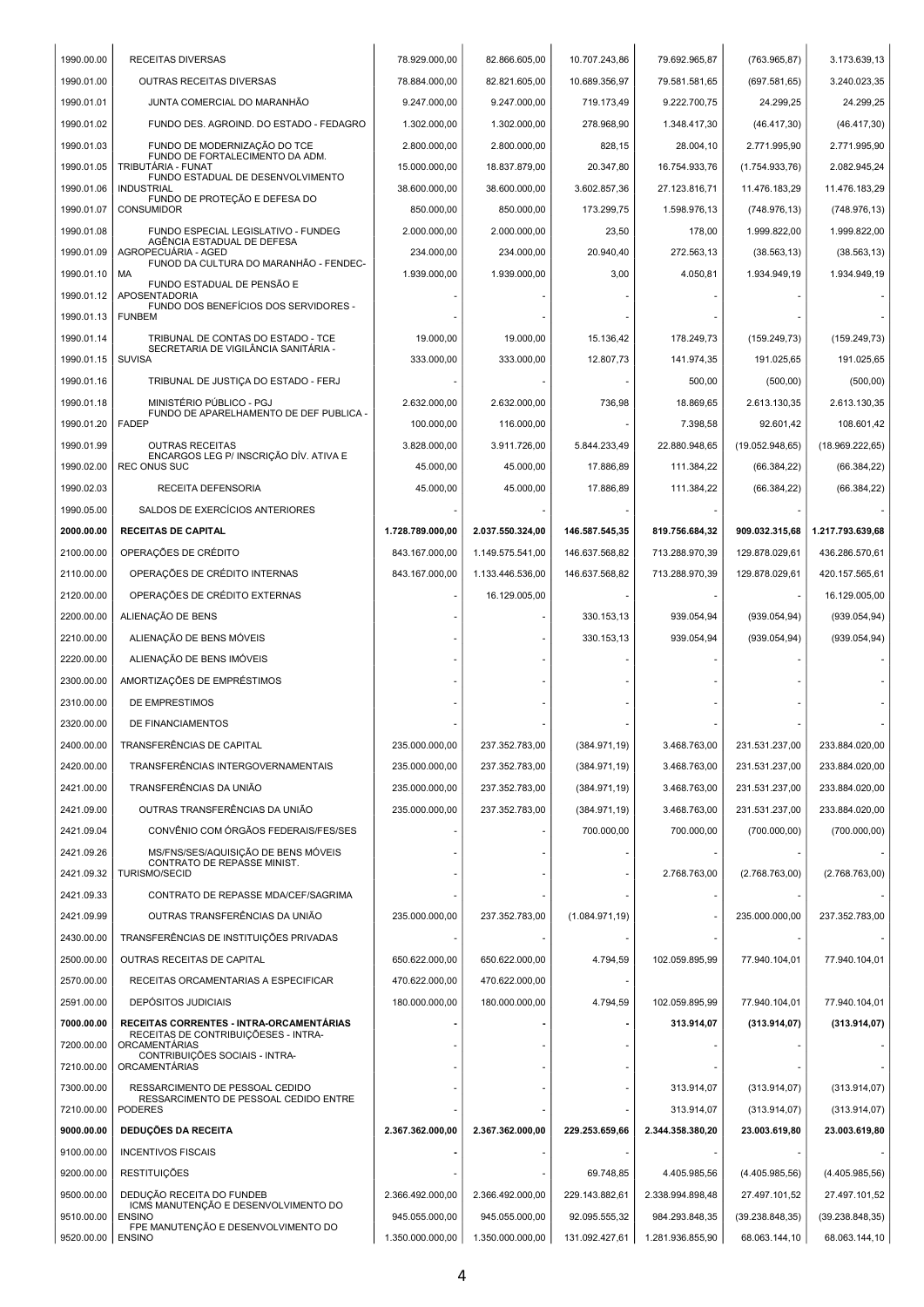| 1990.00.00               | <b>RECEITAS DIVERSAS</b>                                                   | 78.929.000.00    | 82.866.605,00    | 10.707.243,86   | 79.692.965,87    | (763.965, 87)    | 3.173.639,13     |
|--------------------------|----------------------------------------------------------------------------|------------------|------------------|-----------------|------------------|------------------|------------------|
| 1990.01.00               | OUTRAS RECEITAS DIVERSAS                                                   | 78.884.000,00    | 82.821.605,00    | 10.689.356,97   | 79.581.581,65    | (697.581.65)     | 3.240.023.35     |
| 1990.01.01               | JUNTA COMERCIAL DO MARANHÃO                                                | 9.247.000,00     | 9.247.000,00     | 719.173,49      | 9.222.700,75     | 24.299,25        | 24.299,25        |
| 1990.01.02               | FUNDO DES. AGROIND. DO ESTADO - FEDAGRO                                    | 1.302.000,00     | 1.302.000,00     | 278.968,90      | 1.348.417,30     | (46.417, 30)     | (46.417, 30)     |
| 1990.01.03               | FUNDO DE MODERNIZAÇÃO DO TCE<br>FUNDO DE FORTALECIMENTO DA ADM.            | 2.800.000,00     | 2.800.000,00     | 828,15          | 28.004,10        | 2.771.995,90     | 2.771.995,90     |
| 1990.01.05               | TRIBUTÁRIA - FUNAT<br>FUNDO ESTADUAL DE DESENVOLVIMENTO                    | 15.000.000,00    | 18.837.879,00    | 20.347,80       | 16.754.933,76    | (1.754.933,76)   | 2.082.945,24     |
| 1990.01.06               | <b>INDUSTRIAL</b><br>FUNDO DE PROTEÇÃO E DEFESA DO                         | 38.600.000,00    | 38.600.000,00    | 3.602.857,36    | 27.123.816,71    | 11.476.183,29    | 11.476.183,29    |
| 1990.01.07               | <b>CONSUMIDOR</b>                                                          | 850.000,00       | 850.000,00       | 173.299,75      | 1.598.976,13     | (748.976, 13)    | (748.976, 13)    |
| 1990.01.08               | FUNDO ESPECIAL LEGISLATIVO - FUNDEG<br>AGÊNCIA ESTADUAL DE DEFESA          | 2.000.000,00     | 2.000.000,00     | 23,50           | 178,00           | 1.999.822,00     | 1.999.822,00     |
| 1990.01.09               | AGROPECUÁRIA - AGED<br>FUNOD DA CULTURA DO MARANHÃO - FENDEC-              | 234.000,00       | 234.000.00       | 20.940,40       | 272.563,13       | (38.563, 13)     | (38.563, 13)     |
| 1990.01.10               | МA<br>FUNDO ESTADUAL DE PENSÃO E                                           | 1.939.000,00     | 1.939.000,00     | 3,00            | 4.050,81         | 1.934.949,19     | 1.934.949,19     |
| 1990.01.12               | <b>APOSENTADORIA</b><br>FUNDO DOS BENEFÍCIOS DOS SERVIDORES -              |                  |                  |                 |                  |                  |                  |
| 1990.01.13               | <b>FUNBEM</b>                                                              |                  |                  |                 |                  |                  |                  |
| 1990.01.14               | TRIBUNAL DE CONTAS DO ESTADO - TCE<br>SECRETARIA DE VIGILÂNCIA SANITÁRIA - | 19.000,00        | 19.000,00        | 15.136,42       | 178.249,73       | (159.249.73)     | (159.249.73)     |
| 1990.01.15               | <b>SUVISA</b>                                                              | 333.000,00       | 333.000,00       | 12.807,73       | 141.974,35       | 191.025,65       | 191.025,65       |
| 1990.01.16               | TRIBUNAL DE JUSTIÇA DO ESTADO - FERJ                                       |                  |                  |                 | 500,00           | (500,00)         | (500, 00)        |
| 1990.01.18               | MINISTÉRIO PÚBLICO - PGJ<br>FUNDO DE APARELHAMENTO DE DEF PUBLICA -        | 2.632.000.00     | 2.632.000,00     | 736,98          | 18.869,65        | 2.613.130,35     | 2.613.130.35     |
| 1990.01.20               | <b>FADEP</b>                                                               | 100.000,00       | 116.000,00       |                 | 7.398,58         | 92.601,42        | 108.601,42       |
| 1990.01.99               | <b>OUTRAS RECEITAS</b><br>ENCARGOS LEG P/ INSCRIÇÃO DÍV. ATIVA E           | 3.828.000,00     | 3.911.726,00     | 5.844.233,49    | 22.880.948,65    | (19.052.948, 65) | (18.969.222, 65) |
| 1990.02.00               | <b>REC ONUS SUC</b>                                                        | 45.000,00        | 45.000,00        | 17.886.89       | 111.384.22       | (66.384, 22)     | (66.384, 22)     |
| 1990.02.03               | RECEITA DEFENSORIA                                                         | 45.000,00        | 45.000,00        | 17.886,89       | 111.384,22       | (66.384, 22)     | (66.384, 22)     |
| 1990.05.00               | SALDOS DE EXERCÍCIOS ANTERIORES                                            |                  |                  |                 |                  |                  |                  |
| 2000.00.00               | <b>RECEITAS DE CAPITAL</b>                                                 | 1.728.789.000,00 | 2.037.550.324,00 | 146.587.545,35  | 819.756.684,32   | 909.032.315,68   | 1.217.793.639,68 |
| 2100.00.00               | OPERAÇÕES DE CRÉDITO                                                       | 843.167.000,00   | 1.149.575.541,00 | 146.637.568,82  | 713.288.970,39   | 129.878.029,61   | 436.286.570,61   |
| 2110.00.00               | OPERAÇÕES DE CRÉDITO INTERNAS                                              | 843.167.000,00   | 1.133.446.536,00 | 146.637.568,82  | 713.288.970,39   | 129.878.029,61   | 420.157.565,61   |
| 2120.00.00               | OPERAÇÕES DE CRÉDITO EXTERNAS                                              |                  | 16.129.005,00    |                 |                  |                  | 16.129.005,00    |
| 2200.00.00               | ALIENAÇÃO DE BENS                                                          |                  |                  | 330.153,13      | 939.054,94       | (939.054, 94)    | (939.054, 94)    |
| 2210.00.00<br>2220.00.00 | ALIENAÇÃO DE BENS MÓVEIS<br>ALIENAÇÃO DE BENS IMÓVEIS                      |                  |                  | 330.153,13      | 939.054,94       | (939.054, 94)    | (939.054, 94)    |
| 2300.00.00               | AMORTIZAÇÕES DE EMPRÉSTIMOS                                                |                  |                  |                 |                  |                  |                  |
| 2310.00.00               | DE EMPRESTIMOS                                                             |                  |                  |                 |                  |                  |                  |
| 2320.00.00               | DE FINANCIAMENTOS                                                          |                  |                  |                 |                  |                  |                  |
| 2400.00.00               | TRANSFERÊNCIAS DE CAPITAL                                                  | 235.000.000,00   | 237.352.783,00   | (384.971, 19)   | 3.468.763,00     | 231.531.237,00   | 233.884.020,00   |
| 2420.00.00               | TRANSFERÊNCIAS INTERGOVERNAMENTAIS                                         | 235.000.000,00   | 237.352.783,00   | (384.971, 19)   | 3.468.763,00     | 231.531.237,00   | 233.884.020,00   |
| 2421.00.00               | TRANSFERÊNCIAS DA UNIÃO                                                    | 235.000.000,00   | 237.352.783,00   | (384.971, 19)   | 3.468.763,00     | 231.531.237,00   | 233.884.020,00   |
| 2421.09.00               | OUTRAS TRANSFERÊNCIAS DA UNIÃO                                             | 235.000.000,00   | 237.352.783,00   | (384.971, 19)   | 3.468.763,00     | 231.531.237,00   | 233.884.020.00   |
| 2421.09.04               | CONVÊNIO COM ÓRGÃOS FEDERAIS/FES/SES                                       |                  |                  | 700.000,00      | 700.000.00       | (700.000, 00)    | (700.000, 00)    |
| 2421.09.26               | MS/FNS/SES/AQUISIÇÃO DE BENS MÓVEIS                                        |                  |                  |                 |                  |                  |                  |
| 2421.09.32               | CONTRATO DE REPÁSSE MINIST.<br><b>TURISMO/SECID</b>                        |                  |                  |                 | 2.768.763,00     | (2.768.763,00)   | (2.768.763,00)   |
| 2421.09.33               | CONTRATO DE REPASSE MDA/CEF/SAGRIMA                                        |                  |                  |                 |                  |                  |                  |
| 2421.09.99               | OUTRAS TRANSFERÊNCIAS DA UNIÃO                                             | 235.000.000.00   | 237.352.783,00   | (1.084.971, 19) |                  | 235.000.000.00   | 237.352.783,00   |
| 2430.00.00               | TRANSFERÊNCIAS DE INSTITUIÇÕES PRIVADAS                                    |                  |                  |                 |                  |                  |                  |
| 2500.00.00               | OUTRAS RECEITAS DE CAPITAL                                                 | 650.622.000,00   | 650.622.000,00   | 4.794,59        | 102.059.895,99   | 77.940.104,01    | 77.940.104,01    |
| 2570.00.00               | RECEITAS ORCAMENTARIAS A ESPECIFICAR                                       | 470.622.000,00   | 470.622.000,00   |                 |                  |                  |                  |
| 2591.00.00               | <b>DEPÓSITOS JUDICIAIS</b>                                                 | 180.000.000,00   | 180.000.000,00   | 4.794,59        | 102.059.895,99   | 77.940.104,01    | 77.940.104,01    |
| 7000.00.00               | RECEITAS CORRENTES - INTRA-ORCAMENTÁRIAS                                   |                  |                  |                 | 313.914,07       | (313.914, 07)    | (313.914, 07)    |
| 7200.00.00               | RECEITAS DE CONTRIBUIÇÕESES - INTRA-<br><b>ORCAMENTÁRIAS</b>               |                  |                  |                 |                  |                  |                  |
| 7210.00.00               | CONTRIBUIÇÕES SOCIAIS - INTRA-<br><b>ORCAMENTÁRIAS</b>                     |                  |                  |                 |                  |                  |                  |
| 7300.00.00               | RESSARCIMENTO DE PESSOAL CEDIDO<br>RESSARCIMENTO DE PESSOAL CEDIDO ENTRE   |                  |                  |                 | 313.914,07       | (313.914,07)     | (313.914,07)     |
| 7210.00.00               | <b>PODERES</b>                                                             |                  |                  |                 | 313.914,07       | (313.914,07)     | (313.914,07)     |
| 9000.00.00               | <b>DEDUÇÕES DA RECEITA</b>                                                 | 2.367.362.000,00 | 2.367.362.000,00 | 229.253.659,66  | 2.344.358.380,20 | 23.003.619,80    | 23.003.619,80    |
| 9100.00.00               | <b>INCENTIVOS FISCAIS</b>                                                  |                  |                  |                 |                  |                  |                  |
| 9200.00.00               | <b>RESTITUIÇÕES</b>                                                        |                  |                  | 69.748,85       | 4.405.985,56     | (4.405.985,56)   | (4.405.985,56)   |
| 9500.00.00               | DEDUÇÃO RECEITA DO FUNDEB<br>ICMS MANUTENÇÃO E DESENVOLVIMENTO DO          | 2.366.492.000,00 | 2.366.492.000,00 | 229.143.882,61  | 2.338.994.898,48 | 27.497.101,52    | 27.497.101,52    |
| 9510.00.00               | <b>ENSINO</b><br>FPE MANUTENÇÃO E DESENVOLVIMENTO DO                       | 945.055.000,00   | 945.055.000,00   | 92.095.555,32   | 984.293.848,35   | (39.238.848, 35) | (39.238.848, 35) |
| 9520.00.00   ENSINO      |                                                                            | 1.350.000.000,00 | 1.350.000.000,00 | 131.092.427,61  | 1.281.936.855,90 | 68.063.144,10    | 68.063.144,10    |